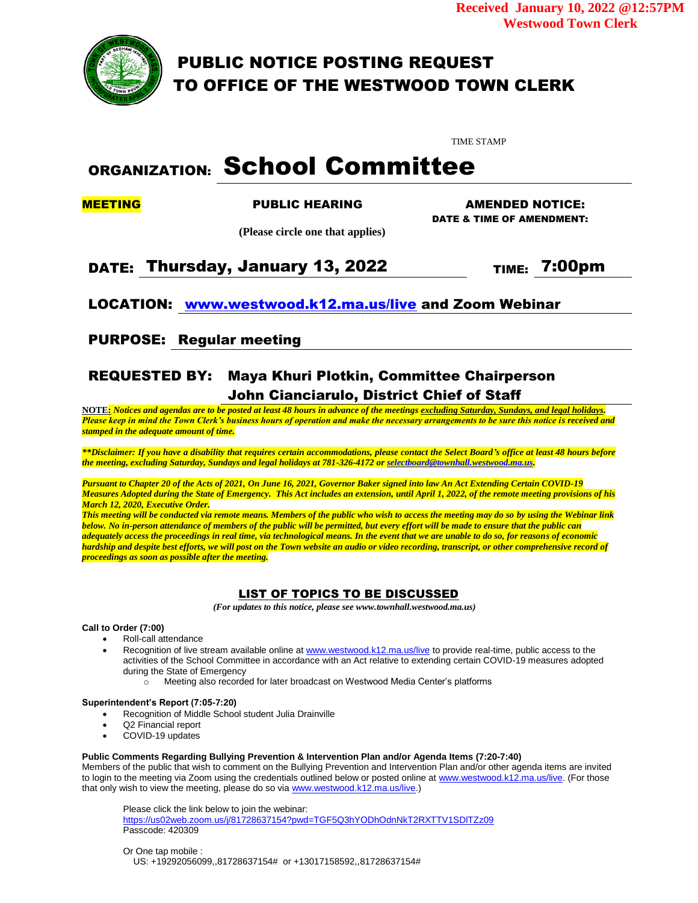**Received January 10, 2022 @12:57PM Westwood Town Clerk**



PUBLIC NOTICE POSTING REQUEST TO OFFICE OF THE WESTWOOD TOWN CLERK

TIME STAMP

# ORGANIZATION: School Committee

MEETING PUBLIC HEARING AMENDED NOTICE:

DATE & TIME OF AMENDMENT:

 **(Please circle one that applies)**

DATE: Thursday, January 13, 2022  $\blacksquare$  TIME: 7:00pm

LOCATION: [www.westwood.k12.ma.us/live](http://www.westwood.k12.ma.us/live) and Zoom Webinar

PURPOSE: Regular meeting

## REQUESTED BY: Maya Khuri Plotkin, Committee Chairperson John Cianciarulo, District Chief of Staff

**NOTE:** *Notices and agendas are to be posted at least 48 hours in advance of the meetings excluding Saturday, Sundays, and legal holidays. Please keep in mind the Town Clerk's business hours of operation and make the necessary arrangements to be sure this notice is received and stamped in the adequate amount of time.*

*\*\*Disclaimer: If you have a disability that requires certain accommodations, please contact the Select Board's office at least 48 hours before the meeting, excluding Saturday, Sundays and legal holidays at 781-326-4172 o[r selectboard@townhall.westwood.ma.us.](mailto:selectboard@townhall.westwood.ma.us)* 

*Pursuant to Chapter 20 of the Acts of 2021, On June 16, 2021, Governor Baker signed into law An Act Extending Certain COVID-19 Measures Adopted during the State of Emergency. This Act includes an extension, until April 1, 2022, of the remote meeting provisions of his March 12, 2020, Executive Order.*

*This meeting will be conducted via remote means. Members of the public who wish to access the meeting may do so by using the Webinar link below. No in-person attendance of members of the public will be permitted, but every effort will be made to ensure that the public can adequately access the proceedings in real time, via technological means. In the event that we are unable to do so, for reasons of economic hardship and despite best efforts, we will post on the Town website an audio or video recording, transcript, or other comprehensive record of proceedings as soon as possible after the meeting.*

## LIST OF TOPICS TO BE DISCUSSED

 *(For updates to this notice, please see www.townhall.westwood.ma.us)*

## **Call to Order (7:00)**

- Roll-call attendance
- Recognition of live stream available online a[t www.westwood.k12.ma.us/live](http://www.westwood.k12.ma.us/live) to provide real-time, public access to the activities of the School Committee in accordance with an Act relative to extending certain COVID-19 measures adopted during the State of Emergency
	- o Meeting also recorded for later broadcast on Westwood Media Center's platforms

## **Superintendent's Report (7:05-7:20)**

- Recognition of Middle School student Julia Drainville
- Q2 Financial report
- COVID-19 updates

## **Public Comments Regarding Bullying Prevention & Intervention Plan and/or Agenda Items (7:20-7:40)**

Members of the public that wish to comment on the Bullying Prevention and Intervention Plan and/or other agenda items are invited to login to the meeting via Zoom using the credentials outlined below or posted online at [www.westwood.k12.ma.us/live.](http://www.westwood.k12.ma.us/live) (For those that only wish to view the meeting, please do so via [www.westwood.k12.ma.us/live.](http://www.westwood.k12.ma.us/live))

Please click the link below to join the webinar: https://us02web.zoom.us/j/81728637154?pwd=TGF5Q3hYODhOdnNkT2RXTTV1SDITZz09 Passcode: 420309

Or One tap mobile : US: +19292056099,,81728637154# or +13017158592,,81728637154#